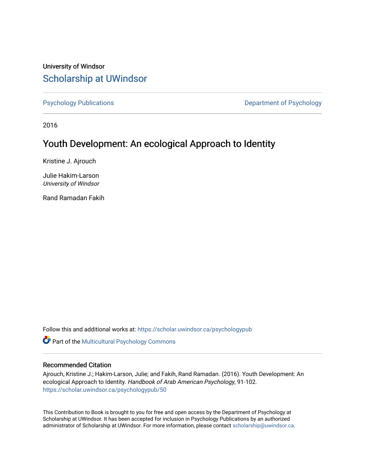# University of Windsor [Scholarship at UWindsor](https://scholar.uwindsor.ca/)

[Psychology Publications](https://scholar.uwindsor.ca/psychologypub) **Department of Psychology** 

2016

# Youth Development: An ecological Approach to Identity

Kristine J. Ajrouch

Julie Hakim-Larson University of Windsor

Rand Ramadan Fakih

Follow this and additional works at: [https://scholar.uwindsor.ca/psychologypub](https://scholar.uwindsor.ca/psychologypub?utm_source=scholar.uwindsor.ca%2Fpsychologypub%2F50&utm_medium=PDF&utm_campaign=PDFCoverPages) 

**C** Part of the Multicultural Psychology Commons

# Recommended Citation

Ajrouch, Kristine J.; Hakim-Larson, Julie; and Fakih, Rand Ramadan. (2016). Youth Development: An ecological Approach to Identity. Handbook of Arab American Psychology, 91-102. [https://scholar.uwindsor.ca/psychologypub/50](https://scholar.uwindsor.ca/psychologypub/50?utm_source=scholar.uwindsor.ca%2Fpsychologypub%2F50&utm_medium=PDF&utm_campaign=PDFCoverPages)

This Contribution to Book is brought to you for free and open access by the Department of Psychology at Scholarship at UWindsor. It has been accepted for inclusion in Psychology Publications by an authorized administrator of Scholarship at UWindsor. For more information, please contact [scholarship@uwindsor.ca](mailto:scholarship@uwindsor.ca).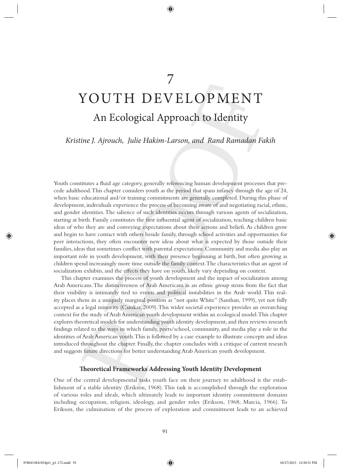7

# YOUTH DEVELOPMENT An Ecological Approach to Identity

 *Kristine J. Ajrouch , Julie Hakim-Larson , and Rand Ramadan Fakih* 

Youth constitutes a fluid age category, generally referencing human development processes that precede adulthood. This chapter considers youth as the period that spans infancy through the age of 24, when basic educational and/or training commitments are generally completed. During this phase of development, individuals experience the process of becoming aware of and negotiating racial, ethnic, and gender identities. The salience of such identities occurs through various agents of socialization, starting at birth. Family constitutes the first influential agent of socialization, teaching children basic ideas of who they are and conveying expectations about their actions and beliefs. As children grow and begin to have contact with others beside family, through school activities and opportunities for peer interactions, they often encounter new ideas about what is expected by those outside their families, ideas that sometimes conflict with parental expectations. Community and media also play an important role in youth development, with their presence beginning at birth, but often growing as children spend increasingly more time outside the family context. The characteristics that an agent of socialization exhibits, and the effects they have on youth, likely vary depending on context.

This chapter examines the process of youth development and the impact of socialization among Arab Americans. The distinctiveness of Arab Americans as an ethnic group stems from the fact that their visibility is intimately tied to events and political instabilities in the Arab world. This reality places them in a uniquely marginal position as "not quite White" (Samhan, 1999), yet not fully accepted as a legal minority (Cainkar, 2009). This wider societal experience provides an overarching context for the study of Arab American youth development within an ecological model. This chapter explores theoretical models for understanding youth identity development, and then reviews research findings related to the ways in which family, peers/school, community, and media play a role in the identities of Arab American youth. This is followed by a case example to illustrate concepts and ideas introduced throughout the chapter. Finally, the chapter concludes with a critique of current research and suggests future directions for better understanding Arab American youth development.

#### **Theoretical Frameworks Addressing Youth Identity Development**

One of the central developmental tasks youth face on their journey to adulthood is the establishment of a stable identity (Erikson, 1968). This task is accomplished through the exploration of various roles and ideals, which ultimately leads to important identity commitment domains including occupation, religion, ideology, and gender roles (Erikson, 1968; Marcia, 1966). To Erikson, the culmination of the process of exploration and commitment leads to an achieved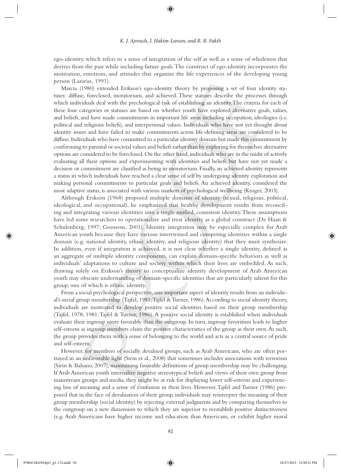ego-identity, which refers to a sense of integration of the self as well as a sense of wholeness that derives from the past while including future goals. The construct of ego-identity incorporates the motivation, emotions, and attitudes that organize the life experiences of the developing young person (Lazarus, 1991).

Marcia (1980) extended Erikson's ego-identity theory by proposing a set of four identity statuses: diffuse, foreclosed, moratorium, and achieved. These statuses describe the processes through which individuals deal with the psychological task of establishing an identity. The criteria for each of these four categories or statuses are based on whether youth have explored alternative goals, values, and beliefs, and have made commitments in important life areas including occupation, ideologies (i.e. political and religious beliefs), and interpersonal values. Individuals who have not yet thought about identity issues and have failed to make commitments across life-defining areas are considered to be diffuse. Individuals who have committed to a particular identity domain but made this commitment by conforming to parental or societal values and beliefs rather than by exploring for themselves alternative options are considered to be foreclosed. On the other hand, individuals who are in the midst of actively evaluating all their options and experimenting with identities and beliefs but have not yet made a decision or commitment are classified as being in moratorium. Finally, an achieved identity represents a status in which individuals have reached a clear sense of self by undergoing identity exploration and making personal commitments to particular goals and beliefs. An achieved identity, considered the most adaptive status, is associated with various markers of psychological wellbeing (Kroger, 2003).

Although Erikson (1968) proposed multiple domains of identity (sexual, religious, political, ideological, and occupational), he emphasized that healthy development results from reconciling and integrating various identities into a single unified, consistent identity. These assumptions have led some researchers to operationalize and treat identity as a global construct (De Haan & Schulenberg, 1997; Goossens, 2001). Identity integration may be especially complex for Arab American youth because they have various intertwined and competing identities within a single domain (e.g. national identity, ethnic identity, and religious identity) that they must synthesize. In addition, even if integration is achieved, it is not clear whether a single identity, defined as an aggregate of multiple identity components, can explain domain-specific behaviors as well as individuals' adaptations to culture and society within which their lives are embedded. As such, drawing solely on Erikson's theory to conceptualize identity development of Arab American youth may obscure understanding of domain-specific identities that are particularly salient for this group, one of which is ethnic identity.

From a social psychological perspective, one important aspect of identity results from an individual's social group membership (Tajfel, 1981; Tajfel & Turner, 1986). According to social identity theory, individuals are motivated to develop positive social identities based on their group membership (Tajfel, 1978 , 1981 ; Tajfel & Turner, 1986 ). A positive social identity is established when individuals evaluate their ingroup more favorably than the outgroup. In turn, ingroup favoritism leads to higher self-esteem as ingroup members claim the positive characteristics of the group as their own. As such, the group provides them with a sense of belonging to the world and acts as a central source of pride and self-esteem.

However, for members of socially devalued groups, such as Arab Americans, who are often portrayed in an unfavorable light (Sirin et al., 2008 ) that sometimes includes associations with terrorism (Sirin & Balsano, 2007), maintaining favorable definitions of group membership may be challenging. If Arab American youth internalize negative stereotypical beliefs and views of their own group from mainstream groups and media, they might be at risk for displaying lower self-esteem and experiencing loss of meaning and a sense of confusion in their lives. However, Tajfel and Turner ( 1986 ) proposed that in the face of devaluation of their group, individuals may reinterpret the meaning of their group membership (social identity) by rejecting external judgments and by comparing themselves to the outgroup on a new dimension to which they are superior to reestablish positive distinctiveness (e.g. Arab Americans have higher income and education than Americans, or exhibit higher moral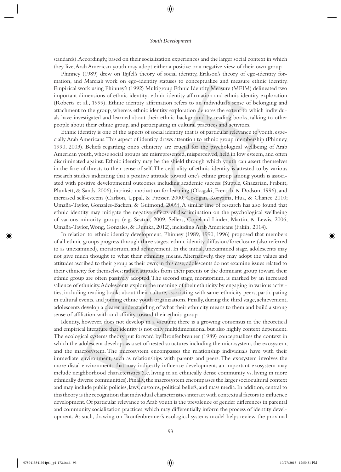#### *Youth Development*

standards). Accordingly, based on their socialization experiences and the larger social context in which they live, Arab American youth may adopt either a positive or a negative view of their own group.

Phinney (1989) drew on Tajfel's theory of social identity, Erikson's theory of ego-identity formation, and Marcia's work on ego-identity statuses to conceptualize and measure ethnic identity. Empirical work using Phinney's ( 1992 ) Multigroup Ethnic Identity Measure (MEIM) delineated two important dimensions of ethnic identity: ethnic identity affirmation and ethnic identity exploration (Roberts et al., 1999). Ethnic identity affirmation refers to an individual's sense of belonging and attachment to the group, whereas ethnic identity exploration denotes the extent to which individuals have investigated and learned about their ethnic background by reading books, talking to other people about their ethnic group, and participating in cultural practices and activities.

Ethnic identity is one of the aspects of social identity that is of particular relevance to youth, especially Arab Americans. This aspect of identity draws attention to ethnic group membership (Phinney, 1990 , 2003 ). Beliefs regarding one's ethnicity are crucial for the psychological wellbeing of Arab American youth, whose social groups are misrepresented, misperceived, held in low esteem, and often discriminated against. Ethnic identity may be the shield through which youth can assert themselves in the face of threats to their sense of self. The centrality of ethnic identity is attested to by various research studies indicating that a positive attitude toward one's ethnic group among youth is associated with positive developmental outcomes including academic success (Supple, Ghazarian, Frabutt, Plunkett, & Sands, 2006), intrinsic motivation for learning (Okagaki, Frensch, & Dodson, 1996), and increased self-esteem (Carlson, Uppal, & Prosser, 2000; Costigan, Koryzma, Hua, & Chance 2010; Umaña-Taylor, Gonzales-Backen, & Guimond, 2009). A similar line of research has also found that ethnic identity may mitigate the negative effects of discrimination on the psychological wellbeing of various minority groups (e.g. Seaton, 2009; Sellers, Copeland-Linder, Martin, & Lewis, 2006; Umaña-Taylor, Wong, Gonzales, & Dumka, 2012 ), including Arab Americans (Fakih, 2014 ).

In relation to ethnic identity development, Phinney (1989, 1990, 1996) proposed that members of all ethnic groups progress through three stages: ethnic identity diffusion/foreclosure (also referred to as unexamined), moratorium, and achievement. In the initial, unexamined stage, adolescents may not give much thought to what their ethnicity means. Alternatively, they may adopt the values and attitudes ascribed to their group as their own; in this case, adolescents do not examine issues related to their ethnicity for themselves; rather, attitudes from their parents or the dominant group toward their ethnic group are often passively adopted. The second stage, moratorium, is marked by an increased salience of ethnicity. Adolescents explore the meaning of their ethnicity by engaging in various activities, including reading books about their culture, associating with same-ethnicity peers, participating in cultural events, and joining ethnic youth organizations. Finally, during the third stage, achievement, adolescents develop a clearer understanding of what their ethnicity means to them and build a strong sense of affiliation with and affinity toward their ethnic group.

Identity, however, does not develop in a vacuum; there is a growing consensus in the theoretical and empirical literature that identity is not only multidimensional but also highly context dependent. The ecological systems theory put forward by Bronfenbrenner (1989) conceptualizes the context in which the adolescent develops as a set of nested structures including the microsystem, the exosystem, and the macrosystem. The microsystem encompasses the relationship individuals have with their immediate environment, such as relationships with parents and peers. The exosystem involves the more distal environments that may indirectly influence development; an important exosystem may include neighborhood characteristics (i.e. living in an ethnically dense community vs. living in more ethnically diverse communities). Finally, the macrosystem encompasses the larger sociocultural context and may include public policies, laws, customs, political beliefs, and mass media. In addition, central to this theory is the recognition that individual characteristics interact with contextual factors to influence development. Of particular relevance to Arab youth is the prevalence of gender differences in parental and community socialization practices, which may differentially inform the process of identity development. As such, drawing on Bronfenbrenner's ecological systems model helps review the proximal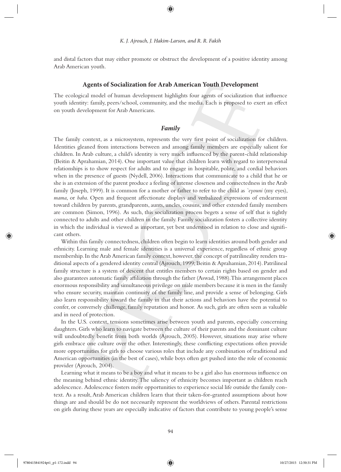and distal factors that may either promote or obstruct the development of a positive identity among Arab American youth.

#### **Agents of Socialization for Arab American Youth Development**

The ecological model of human development highlights four agents of socialization that influence youth identity: family, peers/school, community, and the media. Each is proposed to exert an effect on youth development for Arab Americans.

## **Family**

The family context, as a microsystem, represents the very first point of socialization for children. Identities gleaned from interactions between and among family members are especially salient for children. In Arab culture, a child's identity is very much influenced by the parent-child relationship (Beitin & Aprahamian, 2014 ). One important value that children learn with regard to interpersonal relationships is to show respect for adults and to engage in hospitable, polite, and cordial behaviors when in the presence of guests (Nydell, 2006). Interactions that communicate to a child that he or she is an extension of the parent produce a feeling of intense closeness and connectedness in the Arab family (Joseph, 1999). It is common for a mother or father to refer to the child as *`eyouni* (my eyes), *mama*, or *baba*. Open and frequent affectionate displays and verbalized expressions of endearment toward children by parents, grandparents, aunts, uncles, cousins, and other extended family members are common (Simon, 1996). As such, this socialization process begets a sense of self that is tightly connected to adults and other children in the family. Family socialization fosters a collective identity in which the individual is viewed as important, yet best understood in relation to close and significant others.

Within this family connectedness, children often begin to learn identities around both gender and ethnicity. Learning male and female identities is a universal experience, regardless of ethnic group membership. In the Arab American family context, however, the concept of patrilineality renders traditional aspects of a gendered identity central (Ajrouch, 1999 ; Beitin & Aprahamian, 2014 ). Patrilineal family structure is a system of descent that entitles members to certain rights based on gender and also guarantees automatic family affiliation through the father (Aswad, 1988). This arrangement places enormous responsibility and simultaneous privilege on male members because it is men in the family who ensure security, maintain continuity of the family line, and provide a sense of belonging. Girls also learn responsibility toward the family in that their actions and behaviors have the potential to confer, or conversely challenge, family reputation and honor. As such, girls are often seen as valuable and in need of protection.

In the U.S. context, tensions sometimes arise between youth and parents, especially concerning daughters. Girls who learn to navigate between the culture of their parents and the dominant culture will undoubtedly benefit from both worlds (Ajrouch, 2005). However, situations may arise where girls embrace one culture over the other. Interestingly, these conflicting expectations often provide more opportunities for girls to choose various roles that include any combination of traditional and American opportunities (in the best of cases), while boys often get pushed into the role of economic provider (Ajrouch, 2004).

Learning what it means to be a boy and what it means to be a girl also has enormous influence on the meaning behind ethnic identity. The saliency of ethnicity becomes important as children reach adolescence. Adolescence fosters more opportunities to experience social life outside the family context. As a result, Arab American children learn that their taken-for-granted assumptions about how things are and should be do not necessarily represent the worldviews of others. Parental restrictions on girls during these years are especially indicative of factors that contribute to young people's sense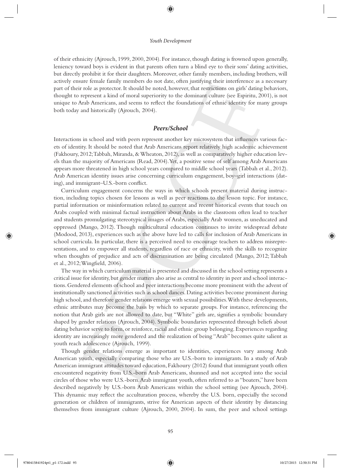#### *Youth Development*

of their ethnicity (Ajrouch, 1999 , 2000 , 2004 ). For instance, though dating is frowned upon generally, leniency toward boys is evident in that parents often turn a blind eye to their sons' dating activities, but directly prohibit it for their daughters. Moreover, other family members, including brothers, will actively ensure female family members do not date, often justifying their interference as a necessary part of their role as protector. It should be noted, however, that restrictions on girls' dating behaviors, thought to represent a kind of moral superiority to the dominant culture (see Espiritu, 2001), is not unique to Arab Americans, and seems to reflect the foundations of ethnic identity for many groups both today and historically (Ajrouch, 2004).

# **Peers/School**

Interactions in school and with peers represent another key microsystem that influences various facets of identity. It should be noted that Arab Americans report relatively high academic achievement (Fakhoury, 2012; Tabbah, Miranda, & Wheaton, 2012), as well as comparatively higher education levels than the majority of Americans (Read, 2004 ). Yet, a positive sense of self among Arab Americans appears more threatened in high school years compared to middle school years (Tabbah et al., 2012). Arab American identity issues arise concerning curriculum engagement, boy–girl interactions (dating), and immigrant–U.S.-born conflict.

Curriculum engagement concerns the ways in which schools present material during instruction, including topics chosen for lessons as well as peer reactions to the lesson topic. For instance, partial information or misinformation related to current and recent historical events that touch on Arabs coupled with minimal factual instruction about Arabs in the classroom often lead to teacher and students promulgating stereotypical images of Arabs, especially Arab women, as uneducated and oppressed (Mango, 2012 ). Though multicultural education continues to invite widespread debate (Modood, 2013), experiences such as the above have led to calls for inclusion of Arab Americans in school curricula. In particular, there is a perceived need to encourage teachers to address misrepresentations, and to empower all students, regardless of race or ethnicity, with the skills to recognize when thoughts of prejudice and acts of discrimination are being circulated (Mango, 2012; Tabbah et al., 2012; Wingfield, 2006).

The way in which curriculum material is presented and discussed in the school setting represents a critical issue for identity, but gender matters also arise as central to identity in peer and school interactions. Gendered elements of school and peer interactions become more prominent with the advent of institutionally sanctioned activities such as school dances. Dating activities become prominent during high school, and therefore gender relations emerge with sexual possibilities. With these developments, ethnic attributes may become the basis by which to separate groups. For instance, referencing the notion that Arab girls are not allowed to date, but "White" girls are, signifies a symbolic boundary shaped by gender relations (Ajrouch, 2004). Symbolic boundaries represented through beliefs about dating behavior serve to form, or reinforce, racial and ethnic group belonging. Experiences regarding identity are increasingly more gendered and the realization of being "Arab" becomes quite salient as youth reach adolescence (Ajrouch, 1999).

Though gender relations emerge as important to identities, experiences vary among Arab American youth, especially comparing those who are U.S.-born to immigrants. In a study of Arab American immigrant attitudes toward education, Fakhoury (2012) found that immigrant youth often encountered negativity from U.S.-born Arab Americans, shunned and not accepted into the social circles of those who were U.S.-born. Arab immigrant youth, often referred to as "boaters," have been described negatively by U.S.-born Arab Americans within the school setting (see Ajrouch, 2004). This dynamic may reflect the acculturation process, whereby the U.S. born, especially the second generation or children of immigrants, strive for American aspects of their identity by distancing themselves from immigrant culture (Ajrouch, 2000 , 2004 ). In sum, the peer and school settings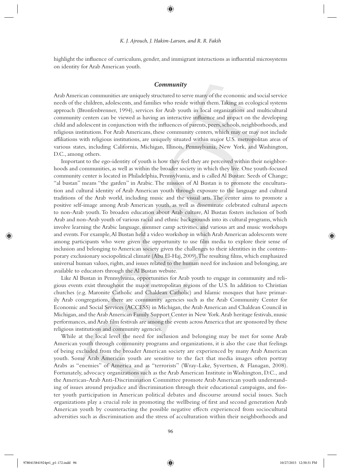highlight the influence of curriculum, gender, and immigrant interactions as influential microsystems on identity for Arab American youth.

#### **Community**

Arab American communities are uniquely structured to serve many of the economic and social service needs of the children, adolescents, and families who reside within them. Taking an ecological systems approach (Bronfenbrenner, 1994), services for Arab youth in local organizations and multicultural community centers can be viewed as having an interactive influence and impact on the developing child and adolescent in conjunction with the influences of parents, peers, schools, neighborhoods, and religious institutions. For Arab Americans, these community centers, which may or may not include affiliations with religious institutions, are uniquely situated within major U.S. metropolitan areas of various states, including California, Michigan, Illinois, Pennsylvania, New York, and Washington, D.C., among others.

Important to the ego-identity of youth is how they feel they are perceived within their neighborhoods and communities, as well as within the broader society in which they live. One youth-focused community center is located in Philadelphia, Pennsylvania, and is called Al Bustan: Seeds of Change; "al bustan" means "the garden" in Arabic. The mission of Al Bustan is to promote the enculturation and cultural identity of Arab American youth through exposure to the language and cultural traditions of the Arab world, including music and the visual arts. The center aims to promote a positive self-image among Arab American youth, as well as disseminate celebrated cultural aspects to non-Arab youth. To broaden education about Arab culture, Al Bustan fosters inclusion of both Arab and non-Arab youth of various racial and ethnic backgrounds into its cultural programs, which involve learning the Arabic language, summer camp activities, and various art and music workshops and events. For example, Al Bustan held a video workshop in which Arab American adolescents were among participants who were given the opportunity to use film media to explore their sense of inclusion and belonging to American society given the challenges to their identities in the contemporary exclusionary sociopolitical climate (Abu El-Haj, 2009). The resulting films, which emphasized universal human values, rights, and issues related to the human need for inclusion and belonging, are available to educators through the Al Bustan website.

Like Al Bustan in Pennsylvania, opportunities for Arab youth to engage in community and religious events exist throughout the major metropolitan regions of the U.S. In addition to Christian churches (e.g. Maronite Catholic and Chaldean Catholic) and Islamic mosques that have primarily Arab congregations, there are community agencies such as the Arab Community Center for Economic and Social Services (ACCESS) in Michigan, the Arab American and Chaldean Council in Michigan, and the Arab American Family Support Center in New York. Arab heritage festivals, music performances, and Arab film festivals are among the events across America that are sponsored by these religious institutions and community agencies.

While at the local level the need for inclusion and belonging may be met for some Arab American youth through community programs and organizations, it is also the case that feelings of being excluded from the broader American society are experienced by many Arab American youth. Some Arab American youth are sensitive to the fact that media images often portray Arabs as "enemies" of America and as "terrorists" (Wray-Lake, Syvertsen, & Flanagan, 2008). Fortunately, advocacy organizations such as the Arab American Institute in Washington, D.C., and the American-Arab Anti-Discrimination Committee promote Arab American youth understanding of issues around prejudice and discrimination through their educational campaigns, and foster youth participation in American political debates and discourse around social issues. Such organizations play a crucial role in promoting the wellbeing of first and second generation Arab American youth by counteracting the possible negative effects experienced from sociocultural adversities such as discrimination and the stress of acculturation within their neighborhoods and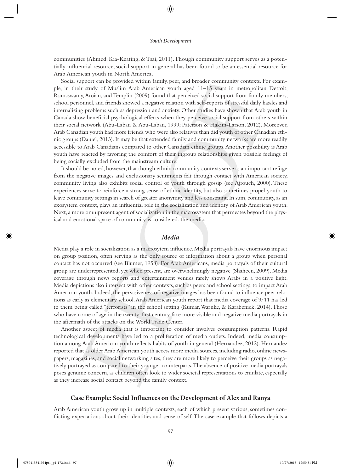communities (Ahmed, Kia-Keating, & Tsai, 2011 ). Though community support serves as a potentially influential resource, social support in general has been found to be an essential resource for Arab American youth in North America.

Social support can be provided within family, peer, and broader community contexts. For example, in their study of Muslim Arab American youth aged 11–15 years in metropolitan Detroit, Ramaswamy, Aroian, and Templin ( 2009 ) found that perceived social support from family members, school personnel, and friends showed a negative relation with self-reports of stressful daily hassles and internalizing problems such as depression and anxiety. Other studies have shown that Arab youth in Canada show beneficial psychological effects when they perceive social support from others within their social network (Abu-Laban & Abu-Laban, 1999; Paterson & Hakim-Larson, 2012). Moreover, Arab Canadian youth had more friends who were also relatives than did youth of other Canadian ethnic groups (Daniel, 2013). It may be that extended family and community networks are more readily accessible to Arab Canadians compared to other Canadian ethnic groups. Another possibility is Arab youth have reacted by favoring the comfort of their ingroup relationships given possible feelings of being socially excluded from the mainstream culture.

It should be noted, however, that though ethnic community contexts serve as an important refuge from the negative images and exclusionary sentiments felt through contact with American society, community living also exhibits social control of youth through gossip (see Ajrouch, 2000). These experiences serve to reinforce a strong sense of ethnic identity, but also sometimes propel youth to leave community settings in search of greater anonymity and less constraint. In sum, community, as an exosystem context, plays an influential role in the socialization and identity of Arab American youth. Next, a more omnipresent agent of socialization in the macrosystem that permeates beyond the physical and emotional space of community is considered: the media.

#### **Media**

Media play a role in socialization as a macrosytem influence. Media portrayals have enormous impact on group position, often serving as the only source of information about a group when personal contact has not occurred (see Blumer, 1958 ). For Arab Americans, media portrayals of their cultural group are underrepresented, yet when present, are overwhelmingly negative (Shaheen, 2009). Media coverage through news reports and entertainment venues rarely shows Arabs in a positive light. Media depictions also intersect with other contexts, such as peers and school settings, to impact Arab American youth. Indeed, the pervasiveness of negative images has been found to influence peer relations as early as elementary school. Arab American youth report that media coverage of 9/11 has led to them being called "terrorists" in the school setting (Kumar, Warnke, & Karabenick, 2014). Those who have come of age in the twenty-first century face more visible and negative media portrayals in the aftermath of the attacks on the World Trade Center.

Another aspect of media that is important to consider involves consumption patterns. Rapid technological developments have led to a proliferation of media outlets. Indeed, media consumption among Arab American youth reflects habits of youth in general (Hernandez, 2012). Hernandez reported that as older Arab American youth access more media sources, including radio, online newspapers, magazines, and social networking sites, they are more likely to perceive their groups as negatively portrayed as compared to their younger counterparts. The absence of positive media portrayals poses genuine concern, as children often look to wider societal representations to emulate, especially as they increase social contact beyond the family context.

#### **Case Example: Social Infl uences on the Development of Alex and Ranya**

Arab American youth grow up in multiple contexts, each of which present various, sometimes conflicting expectations about their identities and sense of self. The case example that follows depicts a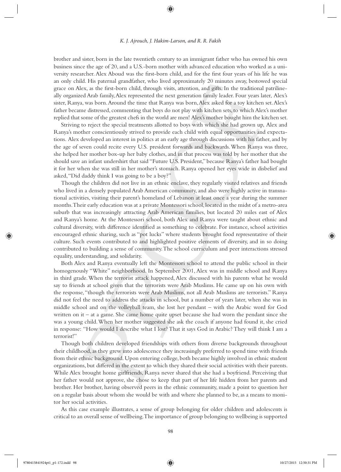brother and sister, born in the late twentieth century to an immigrant father who has owned his own business since the age of 20, and a U.S.-born mother with advanced education who worked as a university researcher. Alex Aboud was the first-born child, and for the first four years of his life he was an only child. His paternal grandfather, who lived approximately 20 minutes away, bestowed special grace on Alex, as the first-born child, through visits, attention, and gifts. In the traditional patrilineally organized Arab family, Alex represented the next generation family leader. Four years later, Alex's sister, Ranya, was born. Around the time that Ranya was born, Alex asked for a toy kitchen set. Alex's father became distressed, commenting that boys do not play with kitchen sets, to which Alex's mother replied that some of the greatest chefs in the world are men! Alex's mother bought him the kitchen set.

Striving to reject the special treatments allotted to boys with which she had grown up, Alex and Ranya's mother conscientiously strived to provide each child with equal opportunities and expectations. Alex developed an interest in politics at an early age through discussions with his father, and by the age of seven could recite every U.S. president forwards and backwards. When Ranya was three, she helped her mother box-up her baby clothes, and in that process was told by her mother that she should save an infant undershirt that said "Future U.S. President," because Ranya's father had bought it for her when she was still in her mother's stomach. Ranya opened her eyes wide in disbelief and asked, "Did daddy think I was going to be a boy?"

Though the children did not live in an ethnic enclave, they regularly visited relatives and friends who lived in a densely populated Arab American community, and also were highly active in transnational activities, visiting their parent's homeland of Lebanon at least once a year during the summer months. Their early education was at a private Montessori school, located in the midst of a metro-area suburb that was increasingly attracting Arab American families, but located 20 miles east of Alex and Ranya's home. At the Montessori school, both Alex and Ranya were taught about ethnic and cultural diversity, with difference identified as something to celebrate. For instance, school activities encouraged ethnic sharing, such as "pot lucks" where students brought food representative of their culture. Such events contributed to and highlighted positive elements of diversity, and in so doing contributed to building a sense of community. The school curriculum and peer interactions stressed equality, understanding, and solidarity.

Both Alex and Ranya eventually left the Montessori school to attend the public school in their homogenously "White" neighborhood. In September 2001, Alex was in middle school and Ranya in third grade. When the terrorist attack happened, Alex discussed with his parents what he would say to friends at school given that the terrorists were Arab Muslims. He came up on his own with the response, "though the terrorists were Arab Muslims, not all Arab Muslims are terrorists." Ranya did not feel the need to address the attacks in school, but a number of years later, when she was in middle school and on the volleyball team, she lost her pendant – with the Arabic word for God written on it – at a game. She came home quite upset because she had worn the pendant since she was a young child. When her mother suggested she ask the coach if anyone had found it, she cried in response: "How would I describe what I lost? That it says God in Arabic? They will think I am a terrorist!"

Though both children developed friendships with others from diverse backgrounds throughout their childhood, as they grew into adolescence they increasingly preferred to spend time with friends from their ethnic background. Upon entering college, both became highly involved in ethnic student organizations, but differed in the extent to which they shared their social activities with their parents. While Alex brought home girlfriends, Ranya never shared that she had a boyfriend. Perceiving that her father would not approve, she chose to keep that part of her life hidden from her parents and brother. Her brother, having observed peers in the ethnic community, made a point to question her on a regular basis about whom she would be with and where she planned to be, as a means to monitor her social activities.

As this case example illustrates, a sense of group belonging for older children and adolescents is critical to an overall sense of wellbeing. The importance of group belonging to wellbeing is supported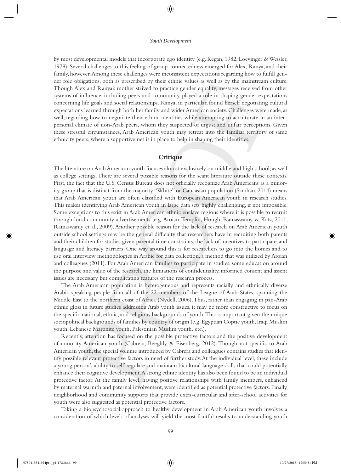#### *Youth Development*

by most developmental models that incorporate ego identity (e.g. Kegan, 1982 ; Loevinger & Wessler, 1978 ). Several challenges to this feeling of group connectedness emerged for Alex, Ranya, and their family, however. Among these challenges were inconsistent expectations regarding how to fulfill gender role obligations, both as prescribed by their ethnic values as well as by the mainstream culture. Though Alex and Ranya's mother strived to practice gender equality, messages received from other systems of influence, including peers and community, played a role in shaping gender expectations concerning life goals and social relationships. Ranya, in particular, found herself negotiating cultural expectations learned through both her family and wider American society. Challenges were made, as well, regarding how to negotiate their ethnic identities while attempting to acculturate in an interpersonal climate of non-Arab peers, whom they suspected of unjust and unfair perceptions. Given these stressful circumstances, Arab American youth may retreat into the familiar territory of same ethnicity peers, where a supportive net is in place to help in shaping their identities.

#### **Critique**

The literature on Arab American youth focuses almost exclusively on middle and high school, as well as college settings. There are several possible reasons for the scant literature outside these contexts. First, the fact that the U.S. Census Bureau does not officially recognize Arab Americans as a minority group that is distinct from the majority "White" or Caucasian population (Samhan, 2014) means that Arab American youth are often classified with European American youth in research studies. This makes identifying Arab American youth in large data sets highly challenging, if not impossible. Some exceptions to this exist in Arab American ethnic enclave regions where it is possible to recruit through local community advertisements (e.g. Aroian, Templin, Hough, Ramaswamy, & Katz, 2011 ; Ramaswamy et al., 2009 ). Another possible reason for the lack of research on Arab American youth outside school settings may be the general difficulty that researchers have in recruiting both parents and their children for studies given parental time constraints, the lack of incentives to participate, and language and literacy barriers. One way around this is for researchers to go into the homes and to use oral interview methodologies in Arabic for data collection, a method that was utilized by Aroian and colleagues (2011). For Arab American families to participate in studies, some education around the purpose and value of the research, the limitations of confidentiality, informed consent and assent issues are necessary but complicating features of the research process.

The Arab American population is heterogeneous and represents racially and ethnically diverse Arabic-speaking people from all of the 22 members of the League of Arab States, spanning the Middle East to the northern coast of Africa (Nydell, 2006). Thus, rather than engaging in pan-Arab ethnic gloss in future studies addressing Arab youth issues, it may be more constructive to focus on the specific national, ethnic, and religious backgrounds of youth. This is important given the unique sociopolitical backgrounds of families by country of origin (e.g. Egyptian Coptic youth, Iraqi Muslim youth, Lebanese Maronite youth, Palestinian Muslim youth, etc.).

Recently, attention has focused on the possible protective factors and the positive development of minority American youth (Cabrera, Beeghly, & Eisenberg, 2012 ). Though not specifi c to Arab American youth, the special volume introduced by Cabrera and colleagues contains studies that identify possible relevant protective factors in need of further study. At the individual level, these include a young person's ability to self-regulate and maintain bicultural language skills that could potentially enhance their cognitive development. A strong ethnic identity has also been found to be an individual protective factor. At the family level, having positive relationships with family members, enhanced by maternal warmth and paternal involvement, were identified as potential protective factors. Finally, neighborhood and community supports that provide extra-curricular and after-school activities for youth were also suggested as potential protective factors.

Taking a biopsychosocial approach to healthy development in Arab American youth involves a consideration of which levels of analyses will yield the most fruitful results to understanding youth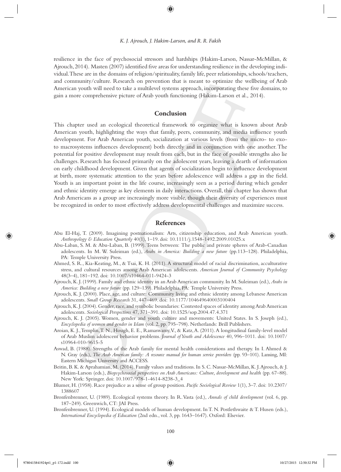resilience in the face of psychosocial stressors and hardships (Hakim-Larson, Nassar-McMillan, & Ajrouch, 2014). Masten (2007) identified five areas for understanding resilience in the developing individual. These are in the domains of religion/spirituality, family life, peer relationships, schools/teachers, and community/culture. Research on prevention that is meant to optimize the wellbeing of Arab American youth will need to take a multilevel systems approach, incorporating these five domains, to gain a more comprehensive picture of Arab youth functioning (Hakim-Larson et al., 2014 ).

## **Conclusion**

This chapter used an ecological theoretical framework to organize what is known about Arab American youth, highlighting the ways that family, peers, community, and media influence youth development. For Arab American youth, socialization at various levels (from the micro- to exoto macrosystems influences development) both directly and in conjunction with one another. The potential for positive development may result from each, but in the face of possible strengths also lie challenges. Research has focused primarily on the adolescent years, leaving a dearth of information on early childhood development. Given that agents of socialization begin to influence development at birth, more systematic attention to the years before adolescence will address a gap in the field. Youth is an important point in the life course, increasingly seen as a period during which gender and ethnic identity emerge as key elements in daily interactions. Overall, this chapter has shown that Arab Americans as a group are increasingly more visible, though their diversity of experiences must be recognized in order to most effectively address developmental challenges and maximize success.

## **References**

- Abu El-Haj, T. (2009). Imagining postnationalism: Arts, citizenship education, and Arab American youth. Anthropology & Education Quarterly 40(1), 1-19. doi: 10.1111/j.1548-1492.2009.01025.x
- Abu-Laban , S. M.& Abu-Laban , B.( 1999 ). Teens between: The public and private spheres of Arab-Canadian adolescents. In M. W. Suleiman (ed.), *Arabs in America: Building a new future* (pp.113-128). Philadelphia, PA: Temple University Press.
- Ahmed, S. R., Kia-Keating, M., & Tsai, K. H. (2011). A structural model of racial discrimination, acculturative stress, and cultural resources among Arab American adolescents . *American Journal of Community Psychology* 48 (3-4), 181-192. doi: 10.1007/s10464-011-9424-3
- Ajrouch , K. J.( 1999 ). Family and ethnic identity in an Arab American community . In M. Suleiman(ed.), *Arabs in America: Building a new future* (pp. 129–139). Philadelphia, PA: Temple University Press.
- Ajrouch , K. J.( 2000 ). Place, age, and culture: Community living and ethnic identity among Lebanese American adolescents . *Small Group Research* 31 , 447 – 469 . doi: 10.1177/104649640003100404
- Ajrouch , K. J.( 2004 ). Gender, race, and symbolic boundaries: Contested spaces of identity among Arab American adolescents . *Sociological Perspectives* 47 , 371 – 391 . doi: 10.1525/sop.2004.47.4.371
- Ajrouch, K. J. (2005). Women, gender and youth culture and movements: United States. In S. Joseph (ed.), *Encyclopedia of women and gender in Islam* (vol. 2, pp. 795–798). Netherlands: Brill Publishers.
- Aroian , K. J. , Templin , T. N. , Hough , E. E. , Ramaswamy , V. , & Katz , A.( 2011 ). A longitudinal family-level model of Arab Muslim adolescent behavior problems. *Journal of Youth and Adolescence* 40, 996-1011. doi: 10.1007/ s10964-010-9615-5
- Aswad, B. (1988). Strengths of the Arab family for mental health considerations and therapy. In I. Ahmed & N. Gray (eds.), *The Arab American family: A resource manual for human service providers* (pp. 93-101). Lansing, MI: Eastern Michigan University and ACCESS.
- Beitin, B. K. & Aprahamian, M. (2014). Family values and traditions. In S. C. Nassar-McMillan, K. J. Ajrouch, & J. Hakim-Larson (eds.), *Biopsychosocial perspectives on Arab Americans: Culture, development and health* (pp. 67–88). New York: Springer. doi: 10.1007/978-1-4614-8238-3\_4
- Blumer, H. (1958). Race prejudice as a sense of group position. Pacific Sociological Review 1(1), 3-7. doi: 10.2307/ 1388607
- Bronfenbrenner, U. (1989). Ecological systems theory. In R. Vasta (ed.), *Annals of child development* (vol. 6, pp. 187-249). Greenwich, CT: JAI Press.
- Bronfenbrenner, U. (1994). Ecological models of human development. In T. N. Postlethwaite & T. Husen (eds.), *International Encyclopedia of Education* (2nd edn., vol. 3, pp. 1643-1647). Oxford: Elsevier.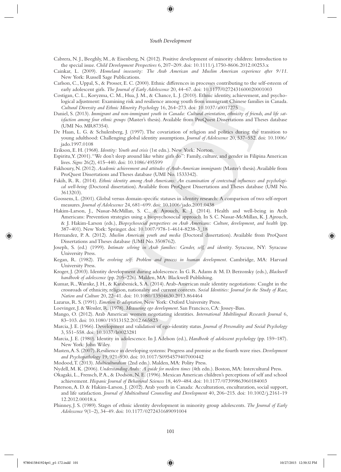- Cabrera , N. J. , Beeghly , M. , & Eisenberg , N.( 2012 ). Positive development of minority children: Introduction to the special issue. *Child Development Perspectives* 6, 207-209. doi: 10.1111/j.1750-8606.2012.00253.x
- Cainkar, L. (2009). *Homeland insecurity: The Arab American and Muslim American experience after 9/11*. New York: Russell Sage Publications.
- Carlson, C., Uppal, S., & Prosser, E. C. (2000). Ethnic differences in processes contributing to the self-esteem of early adolescent girls. *The Journal of Early Adolescence* 20, 44-67. doi: 10.1177/0272431600020001003
- Costigan, C. L., Koryzma, C. M., Hua, J. M., & Chance, L. J. (2010). Ethnic identity, achievement, and psychological adjustment: Examining risk and resilience among youth from immigrant Chinese families in Canada . *Cultural Diversity and Ethnic Minority Psychology* 16 , 264 – 273 . doi: 10.1037/a0017275
- Daniel , S.( 2013 ). *Immigrant and non-immigrant youth in Canada: Cultural orientation, ethnicity of friends, and life satisfaction among four ethnic groups* (Master's thesis). Available from ProQuest Dissertations and Theses database (UMI No. MR87354).
- De Haan, L. G. & Schulenberg, J. (1997). The covariation of religion and politics during the transition to young adulthood: Challenging global identity assumptions. *Journal of Adolescence* 20, 537–552. doi: 10.1006/ jado.1997.0108
- Erikson, E. H. (1968). *Identity: Youth and crisis* (1st edn.). New York: Norton.
- Espiritu , Y.( 2001 ). " We don't sleep around like white girls do": Family, culture, and gender in Filipina American lives. *Signs* 26(2), 415-440. doi: 10.1086/495599
- Fakhoury , N.( 2012 ). *Academic achievement and attitudes of Arab-American immigrants* (Master's thesis). Available from ProQuest Dissertations and Theses database (UMI No. 1533342).
- Fakih, R. R. (2014). *Ethnic identity among Arab Americans: An examination of contextual influences and psychological well-being* (Doctoral dissertation). Available from ProQuest Dissertations and Theses database (UMI No. 3613203).
- Goossens, L. (2001). Global versus domain-specific statuses in identity research: A comparison of two self-report measures . *Journal of Adolescence* 24 , 681 – 699 . doi: 10.1006/jado.2001.0438
- Hakim-Larson, J., Nassar-McMillan, S. C., & Ajrouch, K. J. (2014). Health and well-being in Arab Americans: Prevention strategies using a biopsychosocial approach . In S. C. Nassar-McMillan , K. J. Ajrouch , & J. Hakim-Larson(eds.), *Biopsychosocial perspectives on Arab Americans: Culture, development, and health* (pp. 387–401). New York: Springer. doi: 10.1007/978-1-4614-8238-3\_18
- Hernandez, P. A. (2012). *Muslim American youth and media* (Doctoral dissertation). Available from ProQuest Dissertations and Theses database (UMI No. 3508762).
- Joseph , S.(ed.) ( 1999 ). *Intimate selving in Arab families: Gender, self, and identity*. Syracuse, NY : Syracuse University Press.
- Kegan, R. (1982). *The evolving self: Problem and process in human development*. Cambridge, MA: Harvard University Press.
- Kroger, J. (2003). Identity development during adolescence. In G. R. Adams & M. D. Berzonsky (eds.), *Blackwell* handbook of adolescence (pp. 205-226). Malden, MA: Blackwell Publishing.
- Kumar, R., Warnke, J. H., & Karabenick, S. A. (2014). Arab-American male identity negotiations: Caught in the crossroads of ethnicity, religion, nationality and current contexts . *Social Identities: Journal for the Study of Race, Nation and Culture* 20, 22-41. doi: 10.1080/13504630.2013.864464
- Lazarus, R. S. (1991). *Emotion & adaptation*. New York: Oxford University Press.
- Loevinger, J. & Wessler, R. (1978). *Measuring ego development*. San Francisco, CA: Jossey-Bass.
- Mango, O. (2012). Arab American women negotiating identities. *International Multilingual Research Journal* 6, 83-103. doi: 10.1080/19313152.2012.665823
- Marcia , J. E.( 1966 ). Development and validation of ego-identity status . *Journal of Personality and Social Psychology* 3 , 551 – 558 . doi: 10.1037/h0023281
- Marcia, J. E. (1980). Identity in adolescence. In J. Adelson (ed.), *Handbook of adolescent psychology* (pp. 159–187). New York: John Wiley.
- Masten , A. S.( 2007 ). Resilience in developing systems: Progress and promise as the fourth wave rises . *Development and Psychopathology* 19 , 921 – 930 . doi: 10.1017/S0954579407000442
- Modood, T. (2013). *Multiculturalism* (2nd edn.). Malden, MA: Polity Press.
- Nydell, M. K. (2006). *Understanding Arabs: A guide for modern times* (4th edn.). Boston, MA: Intercultural Press.
- Okagaki , L. , Frensch , P. A. , & Dodson , N. E.( 1996 ). Mexican American children's perceptions of self and school achievement . *Hispanic Journal of Behavioral Sciences* 18 , 469 – 484 . doi: 10.1177/07399863960184003
- Paterson, A. D. & Hakim-Larson, J. (2012). Arab youth in Canada: Acculturation, enculturation, social support, and life satisfaction. *Journal of Multicultural Counseling and Development* 40, 206-215. doi: 10.1002/j.2161-19 12.2012.00018.x
- Phinney , J. S.( 1989 ). Stages of ethnic identity development in minority group adolescents . *The Journal of Early*  Adolescence 9(1-2), 34-49. doi: 10.1177/0272431689091004